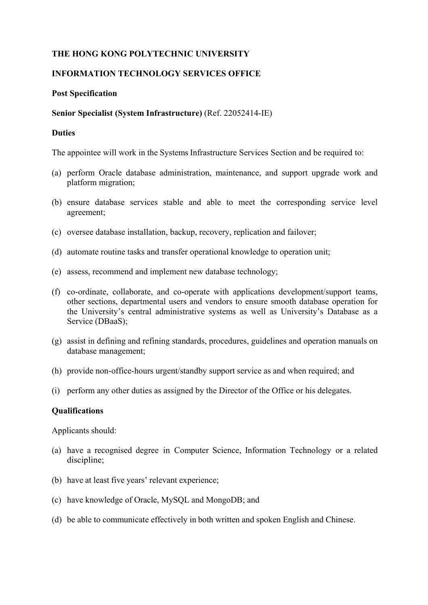# **THE HONG KONG POLYTECHNIC UNIVERSITY**

### **INFORMATION TECHNOLOGY SERVICES OFFICE**

#### **Post Specification**

### **Senior Specialist (System Infrastructure)** (Ref. 22052414-IE)

#### **Duties**

The appointee will work in the Systems Infrastructure Services Section and be required to:

- (a) perform Oracle database administration, maintenance, and support upgrade work and platform migration;
- (b) ensure database services stable and able to meet the corresponding service level agreement;
- (c) oversee database installation, backup, recovery, replication and failover;
- (d) automate routine tasks and transfer operational knowledge to operation unit;
- (e) assess, recommend and implement new database technology;
- (f) co-ordinate, collaborate, and co-operate with applications development/support teams, other sections, departmental users and vendors to ensure smooth database operation for the University's central administrative systems as well as University's Database as a Service (DBaaS);
- (g) assist in defining and refining standards, procedures, guidelines and operation manuals on database management;
- (h) provide non-office-hours urgent/standby support service as and when required; and
- (i) perform any other duties as assigned by the Director of the Office or his delegates.

#### **Qualifications**

Applicants should:

- (a) have a recognised degree in Computer Science, Information Technology or a related discipline;
- (b) have at least five years' relevant experience;
- (c) have knowledge of Oracle, MySQL and MongoDB; and
- (d) be able to communicate effectively in both written and spoken English and Chinese.